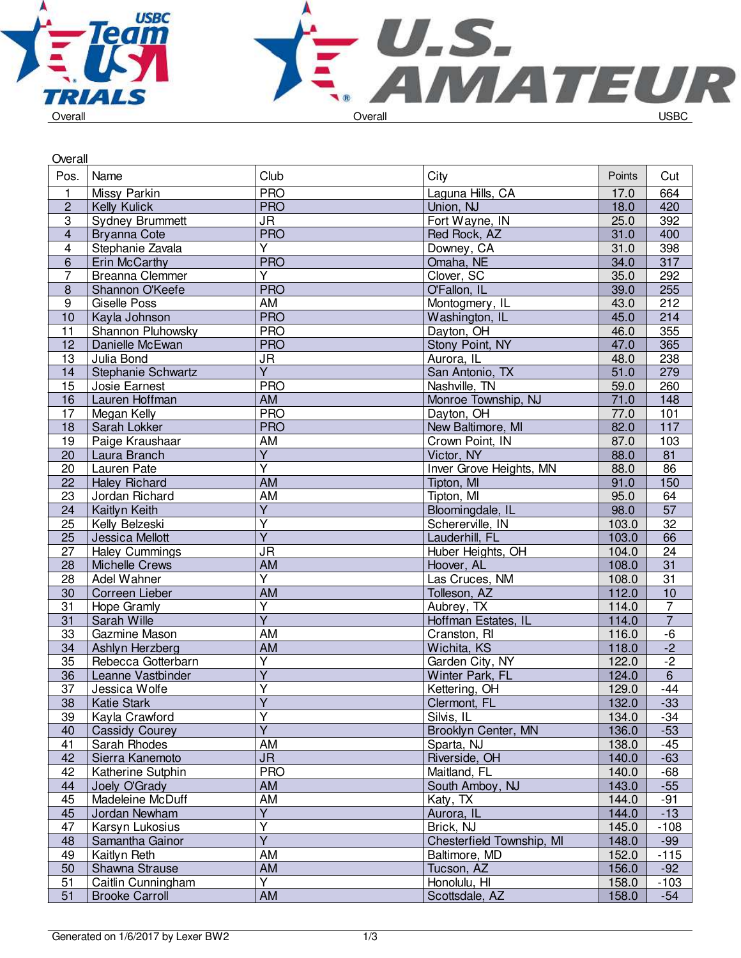



| Overall                 |                                             |                                   |                                |                |                 |
|-------------------------|---------------------------------------------|-----------------------------------|--------------------------------|----------------|-----------------|
| Pos.                    | Name                                        | Club                              | City                           | Points         | Cut             |
| 1                       | Missy Parkin                                | <b>PRO</b>                        | Laguna Hills, CA               | 17.0           | 664             |
| $\overline{2}$          | Kelly Kulick                                | <b>PRO</b>                        | Union, NJ                      | 18.0           | 420             |
| $\overline{3}$          | <b>Sydney Brummett</b>                      | <b>JR</b>                         | Fort Wayne, IN                 | 25.0           | 392             |
| $\overline{\mathbf{4}}$ | <b>Bryanna Cote</b>                         | <b>PRO</b>                        | Red Rock, AZ                   | 31.0           | 400             |
| $\overline{\mathbf{4}}$ | Stephanie Zavala                            | $\overline{Y}$                    | Downey, CA                     | 31.0           | 398             |
| $6\,$                   | <b>Erin McCarthy</b>                        | <b>PRO</b>                        | Omaha, NE                      | 34.0           | 317             |
| $\overline{7}$          | Breanna Clemmer                             | Y                                 | Clover, SC                     | 35.0           | 292             |
| $\bf 8$                 | Shannon O'Keefe                             | <b>PRO</b>                        | O'Fallon, IL                   | 39.0           | 255             |
| $\overline{9}$          | Giselle Poss                                | $\overline{AM}$                   | Montogmery, IL                 | 43.0           | 212             |
| 10                      | Kayla Johnson                               | <b>PRO</b>                        | Washington, IL                 | 45.0           | 214             |
| 11                      | Shannon Pluhowsky                           | <b>PRO</b>                        | Dayton, OH                     | 46.0           | 355             |
| 12                      | Danielle McEwan                             | <b>PRO</b>                        | Stony Point, NY                | 47.0           | 365             |
| 13                      | Julia Bond                                  | <b>JR</b>                         | Aurora, IL                     | 48.0           | 238             |
| 14                      | Stephanie Schwartz                          | $\overline{Y}$                    | San Antonio, TX                | 51.0           | 279             |
| 15                      | Josie Earnest                               | <b>PRO</b>                        | Nashville, TN                  | 59.0           | 260             |
| 16                      | Lauren Hoffman                              | AM                                | Monroe Township, NJ            | 71.0           | 148             |
| 17                      | Megan Kelly                                 | <b>PRO</b>                        | Dayton, OH                     | 77.0           | 101             |
| 18                      | Sarah Lokker                                | <b>PRO</b>                        | New Baltimore, MI              | 82.0           | 117             |
| 19                      | Paige Kraushaar                             | <b>AM</b>                         | Crown Point, IN                | 87.0           | $\frac{103}{2}$ |
| 20                      | Laura Branch                                | $\overline{Y}$                    | Victor, NY                     | 88.0           | $\overline{81}$ |
| 20                      | Lauren Pate                                 | $\overline{\mathsf{Y}}$           | Inver Grove Heights, MN        | 88.0           | 86              |
| 22                      | <b>Haley Richard</b>                        | <b>AM</b>                         | Tipton, MI                     | 91.0           | 150             |
| 23                      | Jordan Richard                              | AM                                | Tipton, MI                     | 95.0           | 64              |
| 24                      | Kaitlyn Keith                               | $\overline{Y}$                    | Bloomingdale, IL               | 98.0           | 57              |
| 25                      | Kelly Belzeski                              | Y                                 | Schererville, IN               | 103.0          | $\overline{32}$ |
| 25                      | <b>Jessica Mellott</b>                      | $\overline{\mathsf{Y}}$           | Lauderhill, FL                 | 103.0          | 66              |
| 27                      | <b>Haley Cummings</b>                       | $\overline{\mathsf{J}\mathsf{R}}$ | Huber Heights, OH              | 104.0          | $\overline{24}$ |
| 28                      | <b>Michelle Crews</b>                       | <b>AM</b>                         | Hoover, AL                     | 108.0          | 31              |
| 28                      | Adel Wahner                                 | $\overline{\mathsf{Y}}$           | Las Cruces, NM                 | 108.0          | $\overline{31}$ |
| 30                      | Correen Lieber                              | <b>AM</b>                         | Tolleson, AZ                   | 112.0          | $\overline{10}$ |
| 31                      | Hope Gramly                                 | $\overline{\mathsf{Y}}$           | Aubrey, TX                     | 114.0          | $\overline{7}$  |
| 31                      | Sarah Wille                                 | $\overline{Y}$                    | Hoffman Estates, IL            | 114.0          | $\overline{7}$  |
| 33                      | Gazmine Mason                               | AM                                | Cranston, RI                   | 116.0          | $-6$            |
| 34                      | Ashlyn Herzberg                             | AM                                | Wichita, KS                    | 118.0          | $-2$            |
| 35                      | Rebecca Gotterbarn                          | Y                                 | Garden City, NY                | 122.0          | $-2$            |
| 36                      | Leanne Vastbinder                           | $\overline{\mathsf{Y}}$           | Winter Park, FL                | 124.0          | $\,6\,$         |
| $\overline{37}$         | Jessica Wolfe                               | Y                                 | Kettering, OH                  | 129.0          | $-44$           |
| 38                      | Katie Stark                                 | $\overline{Y}$                    | Clermont, FL                   | 132.0          | $-33$           |
| 39                      | Kayla Crawford                              | $\overline{\mathsf{Y}}$           | Silvis, IL                     | 134.0          | $-34$           |
| 40                      | <b>Cassidy Courey</b>                       | $\overline{Y}$                    | Brooklyn Center, MN            | 136.0          | $-53$           |
| 41                      | Sarah Rhodes                                | AM                                | Sparta, NJ                     | 138.0          | $-45$           |
| 42                      | Sierra Kanemoto                             | <b>JR</b>                         | Riverside, OH                  | 140.0          | $-63$           |
| 42                      | Katherine Sutphin                           | <b>PRO</b>                        | Maitland, FL                   | 140.0          | $-68$           |
|                         |                                             | AM                                |                                |                |                 |
| 44<br>45                | Joely O'Grady<br>Madeleine McDuff           | AM                                | South Amboy, NJ<br>Katy, TX    | 143.0<br>144.0 | $-55$<br>$-91$  |
|                         | Jordan Newham                               | Y                                 | Aurora, IL                     |                | $-13$           |
| 45<br>47                | Karsyn Lukosius                             | $\overline{\mathsf{Y}}$           | Brick, NJ                      | 144.0<br>145.0 |                 |
|                         | Samantha Gainor                             | $\overline{\mathsf{Y}}$           | Chesterfield Township, MI      |                | $-108$          |
| 48                      |                                             | <b>AM</b>                         |                                | 148.0          | $-99$           |
| 49                      | Kaitlyn Reth                                | AM                                | Baltimore, MD                  | 152.0          | $-115$<br>$-92$ |
| 50                      | Shawna Strause                              | Y                                 | Tucson, AZ                     | 156.0          |                 |
| 51<br>51                | Caitlin Cunningham<br><b>Brooke Carroll</b> | AM                                | Honolulu, HI<br>Scottsdale, AZ | 158.0<br>158.0 | $-103$<br>$-54$ |
|                         |                                             |                                   |                                |                |                 |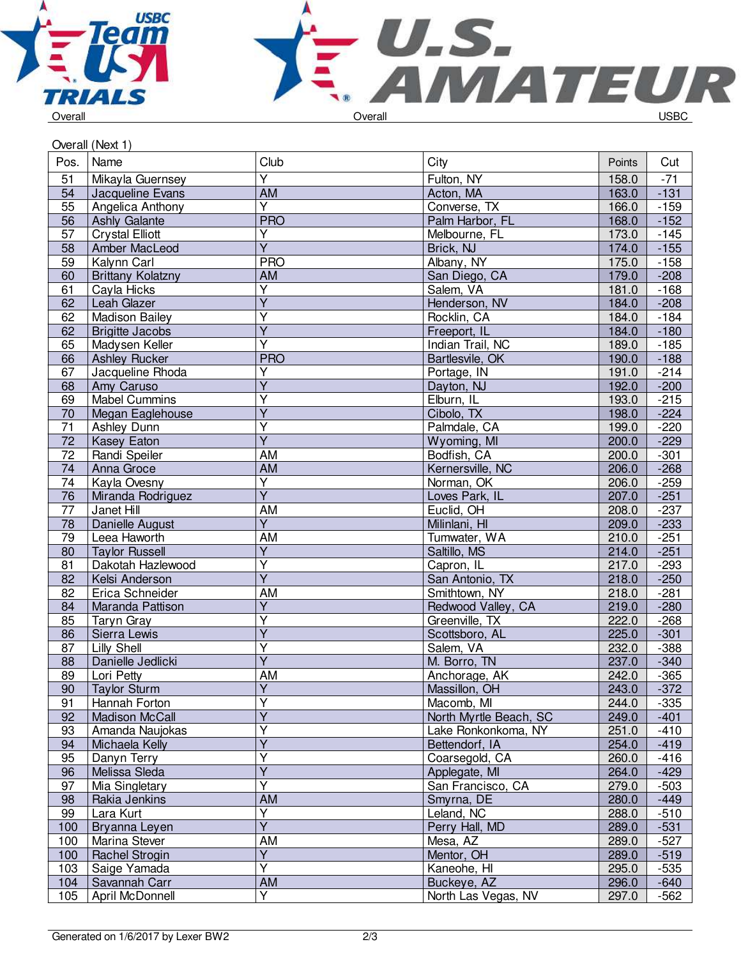



## Overall (Next 1)

| Pos.            | Name                     | Club                    | City                   | Points | Cut    |
|-----------------|--------------------------|-------------------------|------------------------|--------|--------|
| 51              | Mikayla Guernsey         | $\overline{Y}$          | Fulton, NY             | 158.0  | $-71$  |
| 54              | Jacqueline Evans         | <b>AM</b>               | Acton, MA              | 163.0  | $-131$ |
| 55              | Angelica Anthony         | Y                       | Converse, TX           | 166.0  | $-159$ |
| 56              | <b>Ashly Galante</b>     | <b>PRO</b>              | Palm Harbor, FL        | 168.0  | $-152$ |
| 57              | <b>Crystal Elliott</b>   | Y                       | Melbourne, FL          | 173.0  | $-145$ |
| 58              | Amber MacLeod            | $\overline{Y}$          | Brick, NJ              | 174.0  | $-155$ |
| 59              | Kalynn Carl              | <b>PRO</b>              | Albany, NY             | 175.0  | $-158$ |
| 60              | <b>Brittany Kolatzny</b> | AM                      | San Diego, CA          | 179.0  | $-208$ |
| 61              | Cayla Hicks              | Υ                       | Salem, VA              | 181.0  | $-168$ |
| 62              | Leah Glazer              | $\overline{Y}$          | Henderson, NV          | 184.0  | $-208$ |
| 62              | <b>Madison Bailey</b>    | $\overline{Y}$          | Rocklin, CA            | 184.0  | $-184$ |
| 62              | <b>Brigitte Jacobs</b>   | $\overline{\mathsf{Y}}$ | Freeport, IL           | 184.0  | $-180$ |
| 65              | Madysen Keller           | $\overline{\mathsf{Y}}$ | Indian Trail, NC       | 189.0  | $-185$ |
| 66              | <b>Ashley Rucker</b>     | <b>PRO</b>              | Bartlesvile, OK        | 190.0  | $-188$ |
| 67              | Jacqueline Rhoda         | Y                       | Portage, IN            | 191.0  | $-214$ |
| 68              | Amy Caruso               | $\overline{Y}$          | Dayton, NJ             | 192.0  | $-200$ |
| 69              | <b>Mabel Cummins</b>     | Υ                       | Elburn, IL             | 193.0  | $-215$ |
| 70              | Megan Eaglehouse         | $\overline{\mathsf{Y}}$ | Cibolo, TX             | 198.0  | $-224$ |
| 71              | <b>Ashley Dunn</b>       | Ÿ                       | Palmdale, CA           | 199.0  | $-220$ |
| 72              | Kasey Eaton              | $\overline{Y}$          | Wyoming, MI            | 200.0  | $-229$ |
| $\overline{72}$ | Randi Speiler            | <b>AM</b>               | Bodfish, CA            | 200.0  | $-301$ |
| 74              | Anna Groce               | <b>AM</b>               | Kernersville, NC       | 206.0  | $-268$ |
| 74              | Kayla Ovesny             | $\overline{\mathsf{Y}}$ | Norman, OK             | 206.0  | $-259$ |
| 76              | Miranda Rodriguez        | $\overline{\mathsf{Y}}$ | Loves Park, IL         | 207.0  | $-251$ |
| $\overline{77}$ | Janet Hill               | AM                      | Euclid, OH             | 208.0  | $-237$ |
| $\overline{78}$ | Danielle August          | $\overline{Y}$          | Milinlani, HI          | 209.0  | $-233$ |
| 79              | Leea Haworth             | AM                      | Tumwater, WA           | 210.0  | $-251$ |
| 80              | <b>Taylor Russell</b>    | Υ                       | Saltillo, MS           | 214.0  | $-251$ |
| 81              | Dakotah Hazlewood        | $\overline{Y}$          | Capron, IL             | 217.0  | $-293$ |
| 82              | Kelsi Anderson           | $\overline{Y}$          | San Antonio, TX        | 218.0  | $-250$ |
| 82              | Erica Schneider          | <b>AM</b>               | Smithtown, NY          | 218.0  | $-281$ |
| 84              | Maranda Pattison         | $\overline{Y}$          | Redwood Valley, CA     | 219.0  | $-280$ |
| 85              | <b>Taryn Gray</b>        | Ÿ                       | Greenville, TX         | 222.0  | $-268$ |
| 86              | Sierra Lewis             | $\overline{Y}$          | Scottsboro, AL         | 225.0  | $-301$ |
| 87              | <b>Lilly Shell</b>       | $\overline{\mathsf{Y}}$ | Salem, VA              | 232.0  | $-388$ |
| 88              | Danielle Jedlicki        | $\overline{\mathsf{Y}}$ | M. Borro, TN           | 237.0  | $-340$ |
| 89              | Lori Petty               | AM                      | Anchorage, AK          | 242.0  | $-365$ |
| 90              | <b>Taylor Sturm</b>      | $\overline{Y}$          | Massillon, OH          | 243.0  | $-372$ |
| 91              | Hannah Forton            | Υ                       | Macomb, MI             | 244.0  | $-335$ |
| 92              | <b>Madison McCall</b>    | $\overline{Y}$          | North Myrtle Beach, SC | 249.0  | $-401$ |
| 93              | Amanda Naujokas          | $\overline{\mathsf{Y}}$ | Lake Ronkonkoma, NY    | 251.0  | $-410$ |
| 94              | Michaela Kelly           | Y                       | Bettendorf, IA         | 254.0  | $-419$ |
| 95              | Danyn Terry              | $\overline{\mathsf{Y}}$ | Coarsegold, CA         | 260.0  | $-416$ |
| 96              | Melissa Sleda            | $\overline{\mathsf{Y}}$ | Applegate, MI          | 264.0  | $-429$ |
| 97              | Mia Singletary           | $\overline{\mathsf{Y}}$ | San Francisco, CA      | 279.0  | $-503$ |
| 98              | Rakia Jenkins            | AM                      | Smyrna, DE             | 280.0  | $-449$ |
| 99              | Lara Kurt                | Υ                       | Leland, NC             | 288.0  | $-510$ |
| 100             | Bryanna Leyen            | $\overline{Y}$          | Perry Hall, MD         | 289.0  | $-531$ |
| 100             | Marina Stever            | AM                      | Mesa, AZ               | 289.0  | $-527$ |
| 100             | Rachel Strogin           | $\overline{Y}$          | Mentor, OH             | 289.0  | $-519$ |
| 103             | Saige Yamada             | $\overline{\mathsf{Y}}$ | Kaneohe, HI            | 295.0  | $-535$ |
| 104             | Savannah Carr            | AM                      | Buckeye, AZ            | 296.0  | $-640$ |
| 105             | April McDonnell          | $\overline{Y}$          | North Las Vegas, NV    | 297.0  | $-562$ |
|                 |                          |                         |                        |        |        |